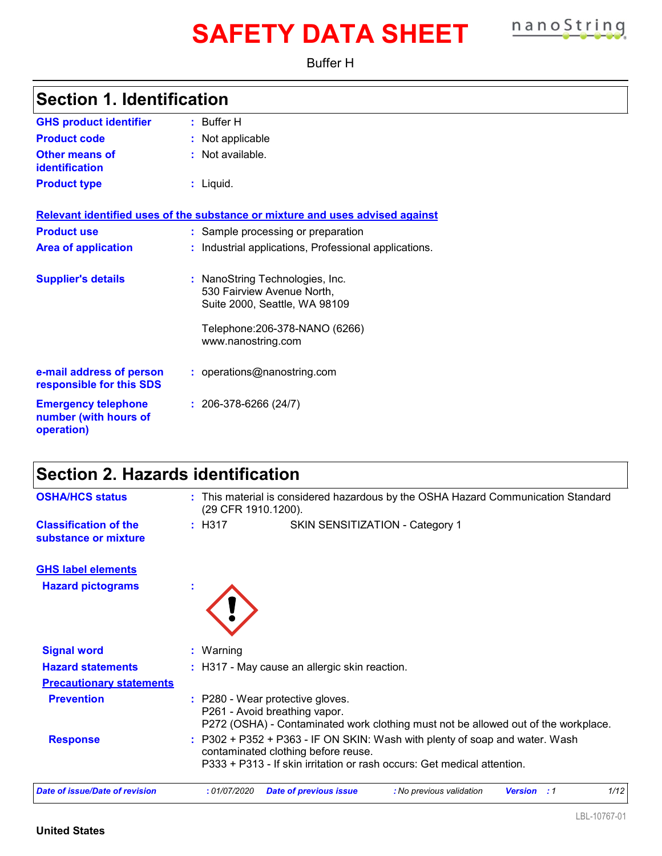# **SAFETY DATA SHEET nanoString**

Buffer H

| <b>Section 1. Identification</b>                     |                                                                                                |  |
|------------------------------------------------------|------------------------------------------------------------------------------------------------|--|
| <b>GHS product identifier</b>                        | $:$ Buffer H                                                                                   |  |
| <b>Product code</b>                                  | : Not applicable                                                                               |  |
| Other means of<br>identification                     | $:$ Not available.                                                                             |  |
| <b>Product type</b>                                  | $:$ Liquid.                                                                                    |  |
|                                                      | Relevant identified uses of the substance or mixture and uses advised against                  |  |
| <b>Product use</b>                                   | : Sample processing or preparation                                                             |  |
| <b>Area of application</b>                           | : Industrial applications, Professional applications.                                          |  |
| <b>Supplier's details</b>                            | : NanoString Technologies, Inc.<br>530 Fairview Avenue North,<br>Suite 2000, Seattle, WA 98109 |  |
|                                                      | Telephone: 206-378-NANO (6266)<br>www.nanostring.com                                           |  |
| e-mail address of person<br>responsible for this SDS | : operations@nanostring.com                                                                    |  |
| <b>Emergency telephone</b>                           | $: 206-378-6266(24/7)$                                                                         |  |

**Emergency telephone** 206-378-6266 (24/7) **number (with hours of operation)**

| Section 2. Hazards identification                    |                                                                                                                                                                                                 |
|------------------------------------------------------|-------------------------------------------------------------------------------------------------------------------------------------------------------------------------------------------------|
| <b>OSHA/HCS status</b>                               | : This material is considered hazardous by the OSHA Hazard Communication Standard<br>(29 CFR 1910.1200).                                                                                        |
| <b>Classification of the</b><br>substance or mixture | : H317<br>SKIN SENSITIZATION - Category 1                                                                                                                                                       |
| <b>GHS label elements</b>                            |                                                                                                                                                                                                 |
| <b>Hazard pictograms</b>                             |                                                                                                                                                                                                 |
| <b>Signal word</b>                                   | $:$ Warning                                                                                                                                                                                     |
| <b>Hazard statements</b>                             | : H317 - May cause an allergic skin reaction.                                                                                                                                                   |
| <b>Precautionary statements</b>                      |                                                                                                                                                                                                 |
| <b>Prevention</b>                                    | : P280 - Wear protective gloves.<br>P261 - Avoid breathing vapor.<br>P272 (OSHA) - Contaminated work clothing must not be allowed out of the workplace.                                         |
| <b>Response</b>                                      | $: P302 + P352 + P363 - IF ON SKIN: Wash with plenty of soap and water. Wash$<br>contaminated clothing before reuse.<br>P333 + P313 - If skin irritation or rash occurs: Get medical attention. |
| <b>Date of issue/Date of revision</b>                | :01/07/2020<br>: No previous validation<br>1/12<br><b>Date of previous issue</b><br><b>Version</b> : 1                                                                                          |

#### **United States**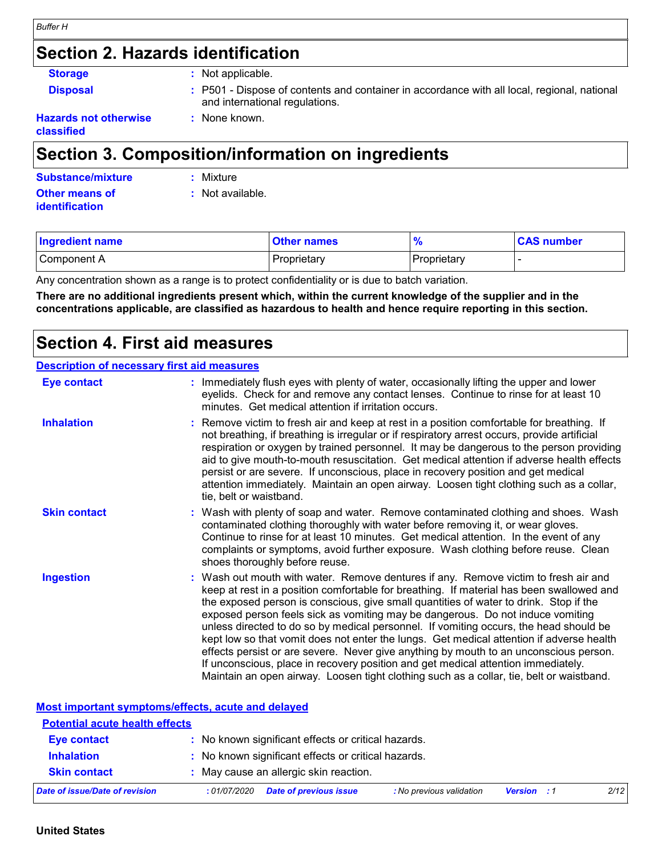### **Section 2. Hazards identification**

**Storage :** Not applicable.

**:** None known.

**Disposal <b>EXECUCE**: P501 - Dispose of contents and container in accordance with all local, regional, national and international regulations.

#### **Hazards not otherwise classified**

### **Section 3. Composition/information on ingredients**

| Substance/mixture     | : Mixture        |
|-----------------------|------------------|
| Other means of        | : Not available. |
| <b>identification</b> |                  |

| <b>Ingredient name</b> | <b>Other names</b> |             | <b>CAS number</b> |
|------------------------|--------------------|-------------|-------------------|
| Component A            | Proprietary        | Proprietary |                   |

Any concentration shown as a range is to protect confidentiality or is due to batch variation.

**There are no additional ingredients present which, within the current knowledge of the supplier and in the concentrations applicable, are classified as hazardous to health and hence require reporting in this section.**

### **Section 4. First aid measures**

#### **Description of necessary first aid measures**

| <b>Eye contact</b>  | : Immediately flush eyes with plenty of water, occasionally lifting the upper and lower<br>eyelids. Check for and remove any contact lenses. Continue to rinse for at least 10<br>minutes. Get medical attention if irritation occurs.                                                                                                                                                                                                                                                                                                                                                                                                                                                                                                                                                                                    |
|---------------------|---------------------------------------------------------------------------------------------------------------------------------------------------------------------------------------------------------------------------------------------------------------------------------------------------------------------------------------------------------------------------------------------------------------------------------------------------------------------------------------------------------------------------------------------------------------------------------------------------------------------------------------------------------------------------------------------------------------------------------------------------------------------------------------------------------------------------|
| <b>Inhalation</b>   | : Remove victim to fresh air and keep at rest in a position comfortable for breathing. If<br>not breathing, if breathing is irregular or if respiratory arrest occurs, provide artificial<br>respiration or oxygen by trained personnel. It may be dangerous to the person providing<br>aid to give mouth-to-mouth resuscitation. Get medical attention if adverse health effects<br>persist or are severe. If unconscious, place in recovery position and get medical<br>attention immediately. Maintain an open airway. Loosen tight clothing such as a collar,<br>tie, belt or waistband.                                                                                                                                                                                                                              |
| <b>Skin contact</b> | : Wash with plenty of soap and water. Remove contaminated clothing and shoes. Wash<br>contaminated clothing thoroughly with water before removing it, or wear gloves.<br>Continue to rinse for at least 10 minutes. Get medical attention. In the event of any<br>complaints or symptoms, avoid further exposure. Wash clothing before reuse. Clean<br>shoes thoroughly before reuse.                                                                                                                                                                                                                                                                                                                                                                                                                                     |
| <b>Ingestion</b>    | : Wash out mouth with water. Remove dentures if any. Remove victim to fresh air and<br>keep at rest in a position comfortable for breathing. If material has been swallowed and<br>the exposed person is conscious, give small quantities of water to drink. Stop if the<br>exposed person feels sick as vomiting may be dangerous. Do not induce vomiting<br>unless directed to do so by medical personnel. If vomiting occurs, the head should be<br>kept low so that vomit does not enter the lungs. Get medical attention if adverse health<br>effects persist or are severe. Never give anything by mouth to an unconscious person.<br>If unconscious, place in recovery position and get medical attention immediately.<br>Maintain an open airway. Loosen tight clothing such as a collar, tie, belt or waistband. |

**Most important symptoms/effects, acute and delayed**

| <b>Potential acute health effects</b> |                                                                           |                    |      |
|---------------------------------------|---------------------------------------------------------------------------|--------------------|------|
| <b>Eye contact</b>                    | : No known significant effects or critical hazards.                       |                    |      |
| <b>Inhalation</b>                     | : No known significant effects or critical hazards.                       |                    |      |
| <b>Skin contact</b>                   | : May cause an allergic skin reaction.                                    |                    |      |
| Date of issue/Date of revision        | <b>Date of previous issue</b><br>: No previous validation<br>: 01/07/2020 | <b>Version</b> : 1 | 2/12 |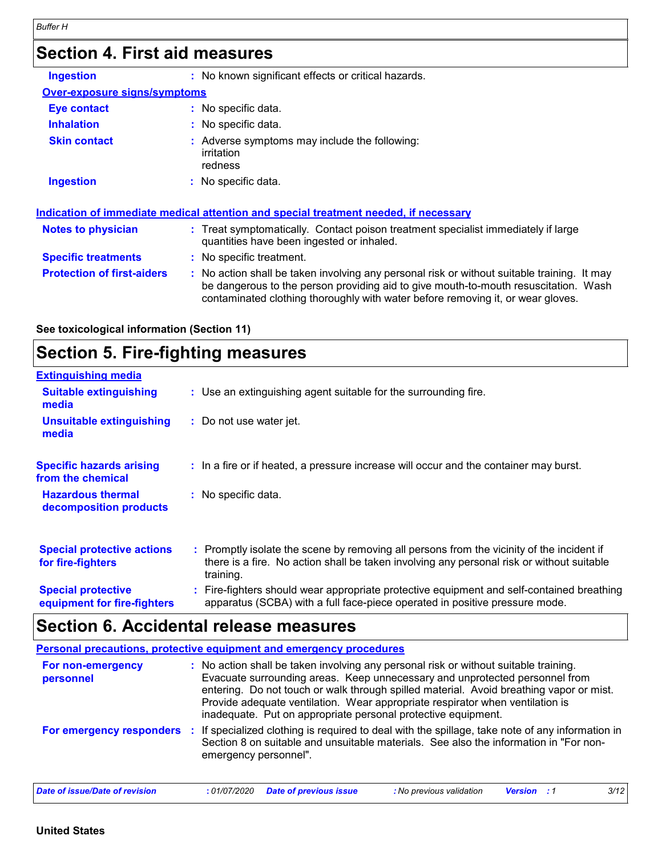### **Section 4. First aid measures**

| <b>Ingestion</b>                    | : No known significant effects or critical hazards.                                                                                                                                                                                                                   |
|-------------------------------------|-----------------------------------------------------------------------------------------------------------------------------------------------------------------------------------------------------------------------------------------------------------------------|
| <b>Over-exposure signs/symptoms</b> |                                                                                                                                                                                                                                                                       |
| Eye contact                         | : No specific data.                                                                                                                                                                                                                                                   |
| <b>Inhalation</b>                   | : No specific data.                                                                                                                                                                                                                                                   |
| <b>Skin contact</b>                 | Adverse symptoms may include the following:<br>irritation<br>redness                                                                                                                                                                                                  |
| <b>Ingestion</b>                    | : No specific data.                                                                                                                                                                                                                                                   |
|                                     | Indication of immediate medical attention and special treatment needed, if necessary                                                                                                                                                                                  |
| <b>Notes to physician</b>           | : Treat symptomatically. Contact poison treatment specialist immediately if large<br>quantities have been ingested or inhaled.                                                                                                                                        |
| <b>Specific treatments</b>          | No specific treatment.                                                                                                                                                                                                                                                |
| <b>Protection of first-aiders</b>   | : No action shall be taken involving any personal risk or without suitable training. It may<br>be dangerous to the person providing aid to give mouth-to-mouth resuscitation. Wash<br>contaminated clothing thoroughly with water before removing it, or wear gloves. |

#### **See toxicological information (Section 11)**

### **Section 5. Fire-fighting measures**

| <b>Extinguishing media</b>                               |                                                                                                                                                                                                     |
|----------------------------------------------------------|-----------------------------------------------------------------------------------------------------------------------------------------------------------------------------------------------------|
| <b>Suitable extinguishing</b><br>media                   | : Use an extinguishing agent suitable for the surrounding fire.                                                                                                                                     |
| <b>Unsuitable extinguishing</b><br>media                 | : Do not use water jet.                                                                                                                                                                             |
| <b>Specific hazards arising</b><br>from the chemical     | : In a fire or if heated, a pressure increase will occur and the container may burst.                                                                                                               |
| <b>Hazardous thermal</b><br>decomposition products       | : No specific data.                                                                                                                                                                                 |
| <b>Special protective actions</b><br>for fire-fighters   | : Promptly isolate the scene by removing all persons from the vicinity of the incident if<br>there is a fire. No action shall be taken involving any personal risk or without suitable<br>training. |
| <b>Special protective</b><br>equipment for fire-fighters | : Fire-fighters should wear appropriate protective equipment and self-contained breathing<br>apparatus (SCBA) with a full face-piece operated in positive pressure mode.                            |

### **Section 6. Accidental release measures**

|                                | <b>Personal precautions, protective equipment and emergency procedures</b>                                                                                                                                                                                                                                                                                                                                       |
|--------------------------------|------------------------------------------------------------------------------------------------------------------------------------------------------------------------------------------------------------------------------------------------------------------------------------------------------------------------------------------------------------------------------------------------------------------|
| For non-emergency<br>personnel | : No action shall be taken involving any personal risk or without suitable training.<br>Evacuate surrounding areas. Keep unnecessary and unprotected personnel from<br>entering. Do not touch or walk through spilled material. Avoid breathing vapor or mist.<br>Provide adequate ventilation. Wear appropriate respirator when ventilation is<br>inadequate. Put on appropriate personal protective equipment. |
| For emergency responders       | : If specialized clothing is required to deal with the spillage, take note of any information in<br>Section 8 on suitable and unsuitable materials. See also the information in "For non-<br>emergency personnel".                                                                                                                                                                                               |
| Date of issue/Date of revision | 3/12<br><b>Date of previous issue</b><br>: No previous validation<br>:01/07/2020<br><b>Version</b>                                                                                                                                                                                                                                                                                                               |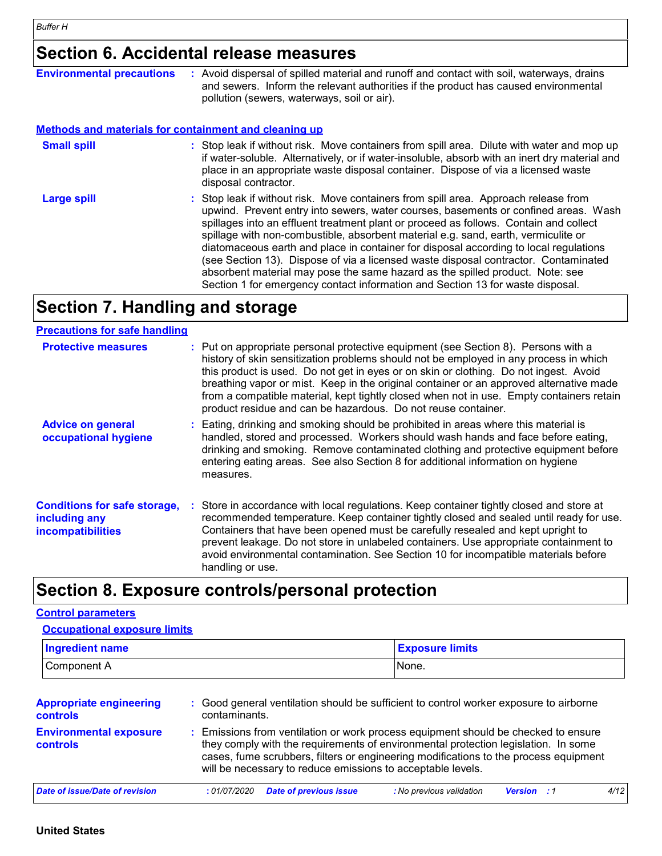## **Section 6. Accidental release measures**

| <b>Environmental precautions</b>                             | : Avoid dispersal of spilled material and runoff and contact with soil, waterways, drains<br>and sewers. Inform the relevant authorities if the product has caused environmental<br>pollution (sewers, waterways, soil or air).                                                                                                                                                                                                                                                                                                                                                                                                                                                                              |
|--------------------------------------------------------------|--------------------------------------------------------------------------------------------------------------------------------------------------------------------------------------------------------------------------------------------------------------------------------------------------------------------------------------------------------------------------------------------------------------------------------------------------------------------------------------------------------------------------------------------------------------------------------------------------------------------------------------------------------------------------------------------------------------|
| <b>Methods and materials for containment and cleaning up</b> |                                                                                                                                                                                                                                                                                                                                                                                                                                                                                                                                                                                                                                                                                                              |
| <b>Small spill</b>                                           | : Stop leak if without risk. Move containers from spill area. Dilute with water and mop up<br>if water-soluble. Alternatively, or if water-insoluble, absorb with an inert dry material and<br>place in an appropriate waste disposal container. Dispose of via a licensed waste<br>disposal contractor.                                                                                                                                                                                                                                                                                                                                                                                                     |
| Large spill                                                  | : Stop leak if without risk. Move containers from spill area. Approach release from<br>upwind. Prevent entry into sewers, water courses, basements or confined areas. Wash<br>spillages into an effluent treatment plant or proceed as follows. Contain and collect<br>spillage with non-combustible, absorbent material e.g. sand, earth, vermiculite or<br>diatomaceous earth and place in container for disposal according to local regulations<br>(see Section 13). Dispose of via a licensed waste disposal contractor. Contaminated<br>absorbent material may pose the same hazard as the spilled product. Note: see<br>Section 1 for emergency contact information and Section 13 for waste disposal. |

### **Section 7. Handling and storage**

#### **Precautions for safe handling**

| <b>Protective measures</b>                                                       | : Put on appropriate personal protective equipment (see Section 8). Persons with a<br>history of skin sensitization problems should not be employed in any process in which<br>this product is used. Do not get in eyes or on skin or clothing. Do not ingest. Avoid<br>breathing vapor or mist. Keep in the original container or an approved alternative made<br>from a compatible material, kept tightly closed when not in use. Empty containers retain<br>product residue and can be hazardous. Do not reuse container. |
|----------------------------------------------------------------------------------|------------------------------------------------------------------------------------------------------------------------------------------------------------------------------------------------------------------------------------------------------------------------------------------------------------------------------------------------------------------------------------------------------------------------------------------------------------------------------------------------------------------------------|
| <b>Advice on general</b><br>occupational hygiene                                 | : Eating, drinking and smoking should be prohibited in areas where this material is<br>handled, stored and processed. Workers should wash hands and face before eating,<br>drinking and smoking. Remove contaminated clothing and protective equipment before<br>entering eating areas. See also Section 8 for additional information on hygiene<br>measures.                                                                                                                                                                |
| <b>Conditions for safe storage,</b><br>including any<br><b>incompatibilities</b> | Store in accordance with local regulations. Keep container tightly closed and store at<br>recommended temperature. Keep container tightly closed and sealed until ready for use.<br>Containers that have been opened must be carefully resealed and kept upright to<br>prevent leakage. Do not store in unlabeled containers. Use appropriate containment to<br>avoid environmental contamination. See Section 10 for incompatible materials before<br>handling or use.                                                      |

### **Section 8. Exposure controls/personal protection**

#### **Control parameters**

| <b>Ingredient name</b>                     |                                                                                                                                                                                                                                                                                                                                 | <b>Exposure limits</b>                                                                 |                    |      |  |  |
|--------------------------------------------|---------------------------------------------------------------------------------------------------------------------------------------------------------------------------------------------------------------------------------------------------------------------------------------------------------------------------------|----------------------------------------------------------------------------------------|--------------------|------|--|--|
| Component A                                | None.                                                                                                                                                                                                                                                                                                                           |                                                                                        |                    |      |  |  |
| <b>Appropriate engineering</b><br>controls | contaminants.                                                                                                                                                                                                                                                                                                                   | : Good general ventilation should be sufficient to control worker exposure to airborne |                    |      |  |  |
| <b>Environmental exposure</b><br>controls  | : Emissions from ventilation or work process equipment should be checked to ensure<br>they comply with the requirements of environmental protection legislation. In some<br>cases, fume scrubbers, filters or engineering modifications to the process equipment<br>will be necessary to reduce emissions to acceptable levels. |                                                                                        |                    |      |  |  |
| Date of issue/Date of revision             | <b>Date of previous issue</b><br>:01/07/2020                                                                                                                                                                                                                                                                                    | : No previous validation                                                               | <b>Version</b> : 1 | 4/12 |  |  |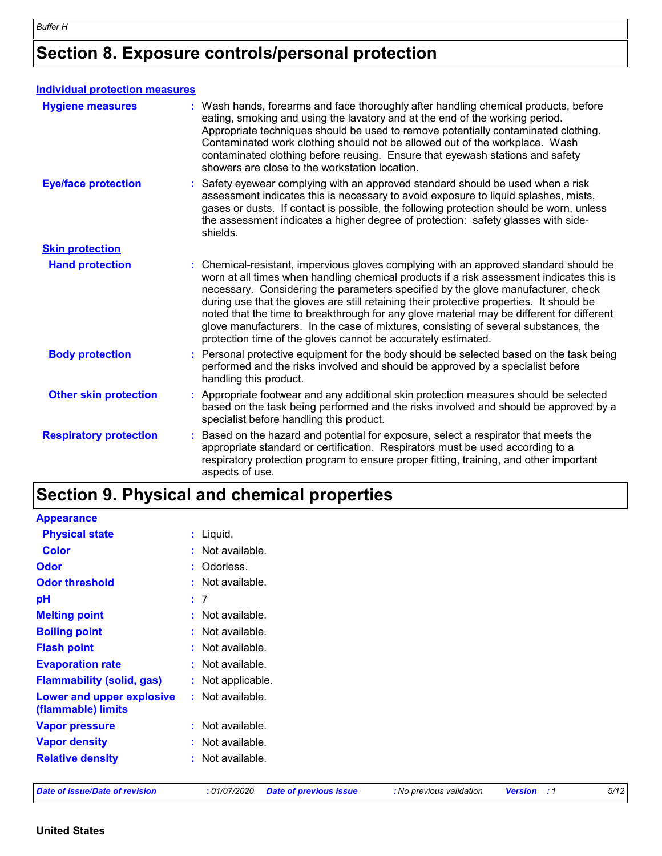### **Section 8. Exposure controls/personal protection**

| <b>Individual protection measures</b> |                                                                                                                                                                                                                                                                                                                                                                                                                                                                                                                                                                                                                        |
|---------------------------------------|------------------------------------------------------------------------------------------------------------------------------------------------------------------------------------------------------------------------------------------------------------------------------------------------------------------------------------------------------------------------------------------------------------------------------------------------------------------------------------------------------------------------------------------------------------------------------------------------------------------------|
| <b>Hygiene measures</b>               | : Wash hands, forearms and face thoroughly after handling chemical products, before<br>eating, smoking and using the lavatory and at the end of the working period.<br>Appropriate techniques should be used to remove potentially contaminated clothing.<br>Contaminated work clothing should not be allowed out of the workplace. Wash<br>contaminated clothing before reusing. Ensure that eyewash stations and safety<br>showers are close to the workstation location.                                                                                                                                            |
| <b>Eye/face protection</b>            | Safety eyewear complying with an approved standard should be used when a risk<br>assessment indicates this is necessary to avoid exposure to liquid splashes, mists,<br>gases or dusts. If contact is possible, the following protection should be worn, unless<br>the assessment indicates a higher degree of protection: safety glasses with side-<br>shields.                                                                                                                                                                                                                                                       |
| <b>Skin protection</b>                |                                                                                                                                                                                                                                                                                                                                                                                                                                                                                                                                                                                                                        |
| <b>Hand protection</b>                | : Chemical-resistant, impervious gloves complying with an approved standard should be<br>worn at all times when handling chemical products if a risk assessment indicates this is<br>necessary. Considering the parameters specified by the glove manufacturer, check<br>during use that the gloves are still retaining their protective properties. It should be<br>noted that the time to breakthrough for any glove material may be different for different<br>glove manufacturers. In the case of mixtures, consisting of several substances, the<br>protection time of the gloves cannot be accurately estimated. |
| <b>Body protection</b>                | : Personal protective equipment for the body should be selected based on the task being<br>performed and the risks involved and should be approved by a specialist before<br>handling this product.                                                                                                                                                                                                                                                                                                                                                                                                                    |
| <b>Other skin protection</b>          | : Appropriate footwear and any additional skin protection measures should be selected<br>based on the task being performed and the risks involved and should be approved by a<br>specialist before handling this product.                                                                                                                                                                                                                                                                                                                                                                                              |
| <b>Respiratory protection</b>         | Based on the hazard and potential for exposure, select a respirator that meets the<br>÷.<br>appropriate standard or certification. Respirators must be used according to a<br>respiratory protection program to ensure proper fitting, training, and other important<br>aspects of use.                                                                                                                                                                                                                                                                                                                                |

### **Section 9. Physical and chemical properties**

| <b>Appearance</b>                               |                                                                                                         |
|-------------------------------------------------|---------------------------------------------------------------------------------------------------------|
| <b>Physical state</b>                           | $:$ Liquid.                                                                                             |
| <b>Color</b>                                    | $:$ Not available.                                                                                      |
| <b>Odor</b>                                     | : Odorless.                                                                                             |
| <b>Odor threshold</b>                           | $:$ Not available.                                                                                      |
| pH                                              | : 7                                                                                                     |
| <b>Melting point</b>                            | : Not available.                                                                                        |
| <b>Boiling point</b>                            | : Not available.                                                                                        |
| <b>Flash point</b>                              | : Not available.                                                                                        |
| <b>Evaporation rate</b>                         | : Not available.                                                                                        |
| <b>Flammability (solid, gas)</b>                | : Not applicable.                                                                                       |
| Lower and upper explosive<br>(flammable) limits | : Not available.                                                                                        |
| <b>Vapor pressure</b>                           | : Not available.                                                                                        |
| <b>Vapor density</b>                            | : Not available.                                                                                        |
| <b>Relative density</b>                         | : Not available.                                                                                        |
| <b>Date of issue/Date of revision</b>           | 5/12<br>: 01/07/2020<br><b>Date of previous issue</b><br><b>Version</b> : 1<br>: No previous validation |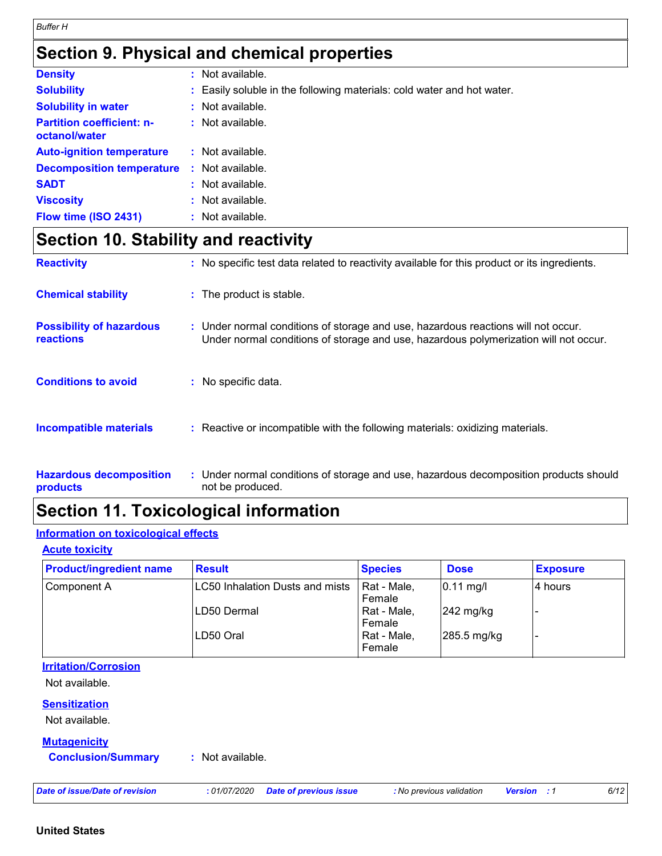### **Section 9. Physical and chemical properties**

| <b>Density</b>                                    | t. | Not available.                                                         |
|---------------------------------------------------|----|------------------------------------------------------------------------|
| <b>Solubility</b>                                 |    | : Easily soluble in the following materials: cold water and hot water. |
| <b>Solubility in water</b>                        |    | : Not available.                                                       |
| <b>Partition coefficient: n-</b><br>octanol/water |    | $:$ Not available.                                                     |
| <b>Auto-ignition temperature</b>                  |    | $:$ Not available.                                                     |
| <b>Decomposition temperature</b>                  |    | : Not available.                                                       |
| <b>SADT</b>                                       |    | $:$ Not available.                                                     |
| <b>Viscosity</b>                                  |    | : Not available.                                                       |
| Flow time (ISO 2431)                              |    | : Not available.                                                       |

### **Section 10. Stability and reactivity**

| <b>Reactivity</b>                                   | : No specific test data related to reactivity available for this product or its ingredients.                                                                              |
|-----------------------------------------------------|---------------------------------------------------------------------------------------------------------------------------------------------------------------------------|
| <b>Chemical stability</b>                           | : The product is stable.                                                                                                                                                  |
| <b>Possibility of hazardous</b><br><b>reactions</b> | : Under normal conditions of storage and use, hazardous reactions will not occur.<br>Under normal conditions of storage and use, hazardous polymerization will not occur. |
| <b>Conditions to avoid</b>                          | : No specific data.                                                                                                                                                       |
| <b>Incompatible materials</b>                       | : Reactive or incompatible with the following materials: oxidizing materials.                                                                                             |
| <b>Hazardous decomposition</b><br><b>products</b>   | : Under normal conditions of storage and use, hazardous decomposition products should<br>not be produced.                                                                 |

### **Section 11. Toxicological information**

#### **Information on toxicological effects**

**Acute toxicity**

| <b>Product/ingredient name</b> | <b>Result</b>                   | <b>Species</b> | <b>Dose</b>           | <b>Exposure</b> |
|--------------------------------|---------------------------------|----------------|-----------------------|-----------------|
| Component A                    | LC50 Inhalation Dusts and mists | Rat - Male,    | $ 0.11 \text{ mg}/I $ | l4 hours        |
|                                |                                 | Female         |                       |                 |
|                                | <b>ILD50 Dermal</b>             | Rat - Male,    | $242$ mg/kg           |                 |
|                                |                                 | Female         |                       |                 |
|                                | LD50 Oral                       | Rat - Male,    | 285.5 mg/kg           |                 |
|                                |                                 | Female         |                       |                 |

### **Irritation/Corrosion**

Not available.

#### **Sensitization**

Not available.

#### **Mutagenicity**

**Conclusion/Summary :** Not available.

*Date of issue/Date of revision* **:** *01/07/2020 Date of previous issue : No previous validation Version : 1 6/12*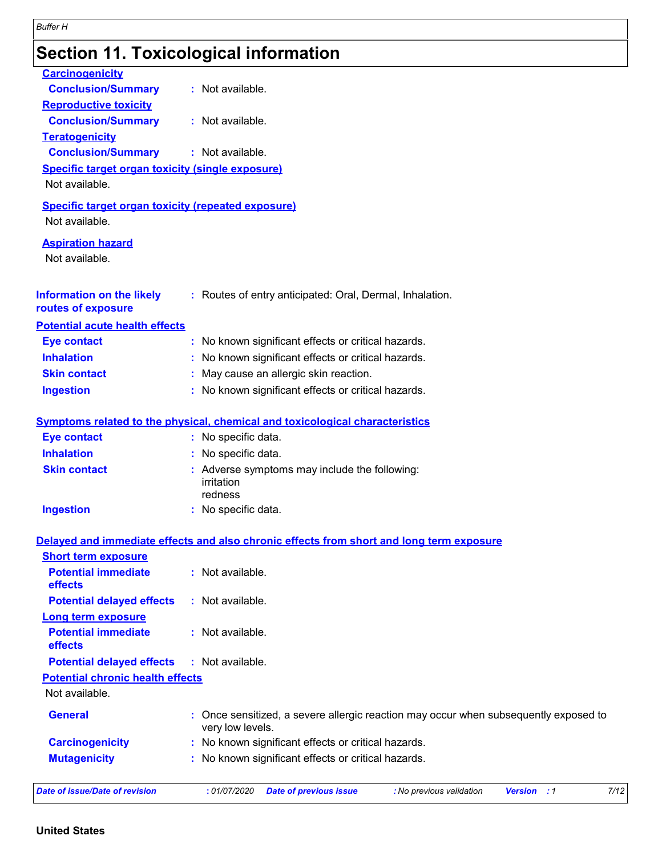## **Section 11. Toxicological information**

| <b>Carcinogenicity</b>                                                      |                                                                                                          |  |  |  |  |  |  |
|-----------------------------------------------------------------------------|----------------------------------------------------------------------------------------------------------|--|--|--|--|--|--|
| <b>Conclusion/Summary</b>                                                   | : Not available.                                                                                         |  |  |  |  |  |  |
| <b>Reproductive toxicity</b>                                                |                                                                                                          |  |  |  |  |  |  |
| <b>Conclusion/Summary</b>                                                   | : Not available.                                                                                         |  |  |  |  |  |  |
| <b>Teratogenicity</b>                                                       |                                                                                                          |  |  |  |  |  |  |
| <b>Conclusion/Summary</b>                                                   | : Not available.                                                                                         |  |  |  |  |  |  |
| <b>Specific target organ toxicity (single exposure)</b><br>Not available.   |                                                                                                          |  |  |  |  |  |  |
| <b>Specific target organ toxicity (repeated exposure)</b><br>Not available. |                                                                                                          |  |  |  |  |  |  |
| <b>Aspiration hazard</b><br>Not available.                                  |                                                                                                          |  |  |  |  |  |  |
| <b>Information on the likely</b><br>routes of exposure                      | : Routes of entry anticipated: Oral, Dermal, Inhalation.                                                 |  |  |  |  |  |  |
| <b>Potential acute health effects</b>                                       |                                                                                                          |  |  |  |  |  |  |
| <b>Eye contact</b>                                                          | : No known significant effects or critical hazards.                                                      |  |  |  |  |  |  |
| <b>Inhalation</b>                                                           | : No known significant effects or critical hazards.                                                      |  |  |  |  |  |  |
| <b>Skin contact</b>                                                         | : May cause an allergic skin reaction.                                                                   |  |  |  |  |  |  |
| <b>Ingestion</b>                                                            | : No known significant effects or critical hazards.                                                      |  |  |  |  |  |  |
|                                                                             |                                                                                                          |  |  |  |  |  |  |
|                                                                             | <b>Symptoms related to the physical, chemical and toxicological characteristics</b>                      |  |  |  |  |  |  |
| <b>Eye contact</b>                                                          | : No specific data.                                                                                      |  |  |  |  |  |  |
| <b>Inhalation</b>                                                           | : No specific data.                                                                                      |  |  |  |  |  |  |
| <b>Skin contact</b>                                                         | : Adverse symptoms may include the following:<br>irritation<br>redness                                   |  |  |  |  |  |  |
| <b>Ingestion</b>                                                            | : No specific data.                                                                                      |  |  |  |  |  |  |
|                                                                             | Delayed and immediate effects and also chronic effects from short and long term exposure                 |  |  |  |  |  |  |
| <b>Short term exposure</b>                                                  |                                                                                                          |  |  |  |  |  |  |
| <b>Potential immediate</b><br>effects                                       | : Not available.                                                                                         |  |  |  |  |  |  |
| <b>Potential delayed effects</b>                                            | : Not available.                                                                                         |  |  |  |  |  |  |
| <b>Long term exposure</b>                                                   |                                                                                                          |  |  |  |  |  |  |
| <b>Potential immediate</b><br>effects                                       | : Not available.                                                                                         |  |  |  |  |  |  |
| <b>Potential delayed effects</b>                                            | : Not available.                                                                                         |  |  |  |  |  |  |
| <b>Potential chronic health effects</b>                                     |                                                                                                          |  |  |  |  |  |  |
| Not available.                                                              |                                                                                                          |  |  |  |  |  |  |
| <b>General</b>                                                              | : Once sensitized, a severe allergic reaction may occur when subsequently exposed to<br>very low levels. |  |  |  |  |  |  |
| <b>Carcinogenicity</b>                                                      | : No known significant effects or critical hazards.                                                      |  |  |  |  |  |  |
| <b>Mutagenicity</b>                                                         | : No known significant effects or critical hazards.                                                      |  |  |  |  |  |  |
|                                                                             |                                                                                                          |  |  |  |  |  |  |
| <b>Date of issue/Date of revision</b>                                       | 7/12<br>:01/07/2020<br><b>Date of previous issue</b><br>: No previous validation<br>Version : 1          |  |  |  |  |  |  |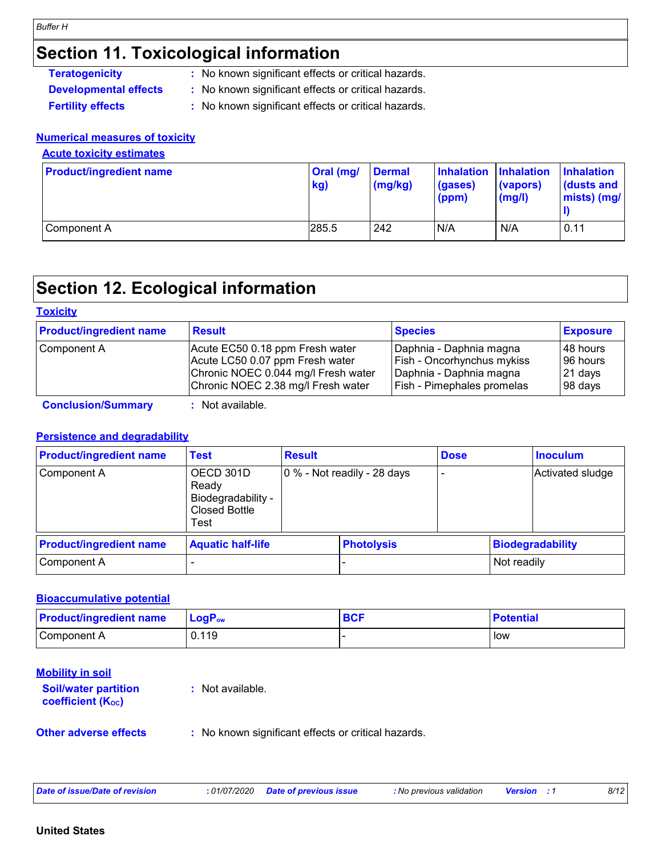### **Section 11. Toxicological information**

| <b>Teratogenicity</b> | : No known significant effects or critical hazards. |
|-----------------------|-----------------------------------------------------|
|                       |                                                     |

- **Developmental effects :** No known significant effects or critical hazards.
- **Fertility effects :** No known significant effects or critical hazards.

#### **Numerical measures of toxicity**

#### **Acute toxicity estimates**

| <b>Product/ingredient name</b> | Oral (mg/<br>kg) | <b>Dermal</b><br>(mg/kg) | Inhalation Inhalation<br>(gases)<br>(ppm) | (vapors)<br>(mg/l) | <b>Inhalation</b><br>$\vert$ (dusts and<br>$mists)$ (mg/ |
|--------------------------------|------------------|--------------------------|-------------------------------------------|--------------------|----------------------------------------------------------|
| Component A                    | 285.5            | 242                      | N/A                                       | N/A                | 0.11                                                     |

### **Section 12. Ecological information**

#### **Toxicity**

| <b>Product/ingredient name</b> | <b>Result</b>                                                                                             | <b>Species</b>                                                                   | <b>Exposure</b>        |  |
|--------------------------------|-----------------------------------------------------------------------------------------------------------|----------------------------------------------------------------------------------|------------------------|--|
| Component A                    | Acute EC50 0.18 ppm Fresh water<br>Acute LC50 0.07 ppm Fresh water<br>Chronic NOEC 0.044 mg/l Fresh water | Daphnia - Daphnia magna<br>Fish - Oncorhynchus mykiss<br>Daphnia - Daphnia magna | 148 hours<br>196 hours |  |
|                                | Chronic NOEC 2.38 mg/l Fresh water                                                                        | Fish - Pimephales promelas                                                       | 21 days<br>98 days     |  |

**Conclusion/Summary :** Not available.

#### **Persistence and degradability**

| <b>Product/ingredient name</b> | Test                                                                     | <b>Result</b> |                             | <b>Dose</b> |                         | <b>Inoculum</b>  |
|--------------------------------|--------------------------------------------------------------------------|---------------|-----------------------------|-------------|-------------------------|------------------|
| Component A                    | OECD 301D<br>Ready<br>Biodegradability -<br><b>Closed Bottle</b><br>Test |               | 0 % - Not readily - 28 days |             |                         | Activated sludge |
| <b>Product/ingredient name</b> | <b>Aquatic half-life</b>                                                 |               | <b>Photolysis</b>           |             | <b>Biodegradability</b> |                  |
| Component A                    |                                                                          |               |                             |             | Not readily             |                  |

#### **Bioaccumulative potential**

| <b>Product/ingredient name</b> | $LogP_{ow}$ | <b>BCF</b> | <b>Potential</b> |
|--------------------------------|-------------|------------|------------------|
| Component A                    | 0.119       |            | low              |

| <b>Mobility in soil</b><br><b>Soil/water partition</b><br><b>coefficient (Koc)</b> | $:$ Not available.                                  |
|------------------------------------------------------------------------------------|-----------------------------------------------------|
| <b>Other adverse effects</b>                                                       | : No known significant effects or critical hazards. |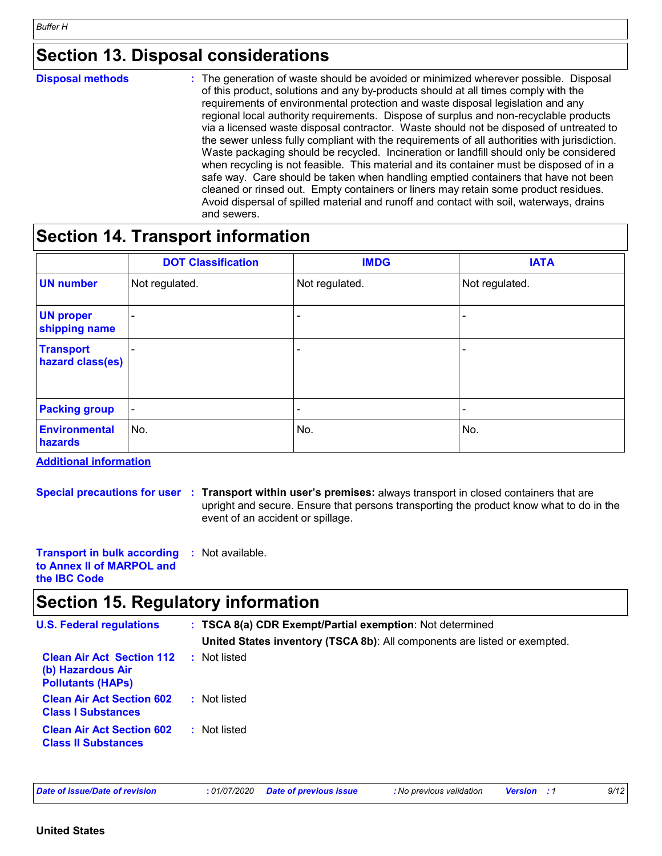### **Section 13. Disposal considerations**

| <b>Disposal methods</b> | : The generation of waste should be avoided or minimized wherever possible. Disposal<br>of this product, solutions and any by-products should at all times comply with the<br>requirements of environmental protection and waste disposal legislation and any<br>regional local authority requirements. Dispose of surplus and non-recyclable products<br>via a licensed waste disposal contractor. Waste should not be disposed of untreated to<br>the sewer unless fully compliant with the requirements of all authorities with jurisdiction.<br>Waste packaging should be recycled. Incineration or landfill should only be considered<br>when recycling is not feasible. This material and its container must be disposed of in a<br>safe way. Care should be taken when handling emptied containers that have not been<br>cleaned or rinsed out. Empty containers or liners may retain some product residues.<br>Avoid dispersal of spilled material and runoff and contact with soil, waterways, drains |
|-------------------------|----------------------------------------------------------------------------------------------------------------------------------------------------------------------------------------------------------------------------------------------------------------------------------------------------------------------------------------------------------------------------------------------------------------------------------------------------------------------------------------------------------------------------------------------------------------------------------------------------------------------------------------------------------------------------------------------------------------------------------------------------------------------------------------------------------------------------------------------------------------------------------------------------------------------------------------------------------------------------------------------------------------|
|                         | and sewers.                                                                                                                                                                                                                                                                                                                                                                                                                                                                                                                                                                                                                                                                                                                                                                                                                                                                                                                                                                                                    |

### **Section 14. Transport information**

|                                      | <b>DOT Classification</b> | <b>IMDG</b>              | <b>IATA</b>              |
|--------------------------------------|---------------------------|--------------------------|--------------------------|
| <b>UN number</b>                     | Not regulated.            | Not regulated.           | Not regulated.           |
| <b>UN proper</b><br>shipping name    | $\overline{\phantom{a}}$  | -                        |                          |
| <b>Transport</b><br>hazard class(es) | $\overline{\phantom{a}}$  | $\overline{\phantom{0}}$ | -                        |
| <b>Packing group</b>                 | $\overline{\phantom{a}}$  | $\overline{\phantom{0}}$ | $\overline{\phantom{a}}$ |
| <b>Environmental</b><br>hazards      | No.                       | No.                      | No.                      |

**Additional information**

**Special precautions for user Transport within user's premises:** always transport in closed containers that are **:** upright and secure. Ensure that persons transporting the product know what to do in the event of an accident or spillage.

**Transport in bulk according to Annex II of MARPOL and the IBC Code :** Not available.

### **Section 15. Regulatory information**

| <b>U.S. Federal regulations</b>                                                   | : TSCA 8(a) CDR Exempt/Partial exemption: Not determined                  |
|-----------------------------------------------------------------------------------|---------------------------------------------------------------------------|
|                                                                                   |                                                                           |
| <b>Clean Air Act Section 112</b><br>(b) Hazardous Air<br><b>Pollutants (HAPS)</b> | Not listed                                                                |
| <b>Clean Air Act Section 602</b><br><b>Class I Substances</b>                     | : Not listed                                                              |
| <b>Clean Air Act Section 602</b><br><b>Class II Substances</b>                    | : Not listed                                                              |
|                                                                                   | United States inventory (TSCA 8b): All components are listed or exempted. |

| Date of issue/Date of revision |  |  |  |  |  |  |  |
|--------------------------------|--|--|--|--|--|--|--|
|--------------------------------|--|--|--|--|--|--|--|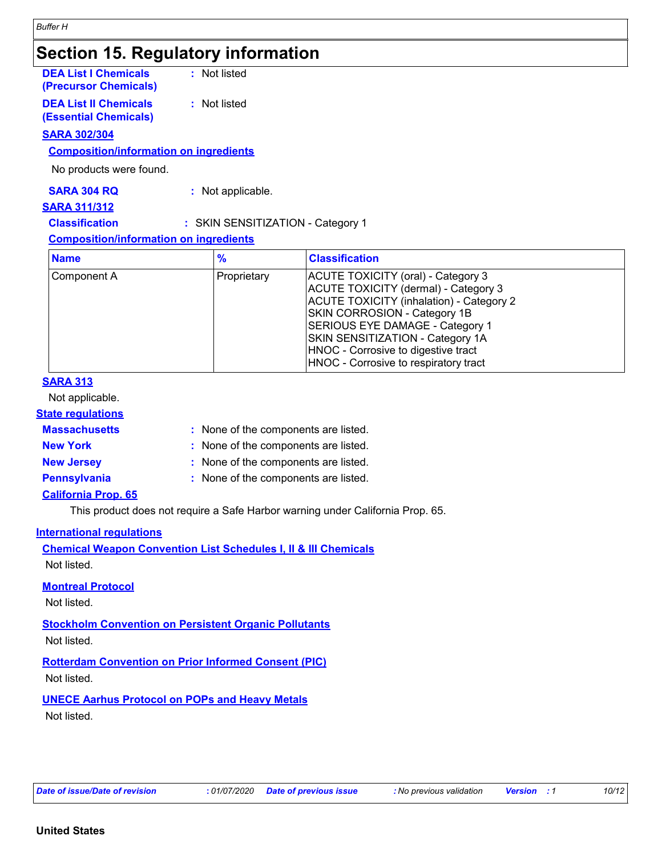### **Section 15. Regulatory information**

| <b>DEA List I Chemicals</b><br>(Precursor Chemicals)         | : Not listed |
|--------------------------------------------------------------|--------------|
| <b>DEA List II Chemicals</b><br><b>(Essential Chemicals)</b> | : Not listed |

#### **SARA 302/304**

#### **Composition/information on ingredients**

No products were found.

**SARA 304 RQ :** Not applicable.

#### **SARA 311/312**

**Classification :** SKIN SENSITIZATION - Category 1

#### **Composition/information on ingredients**

| <b>Name</b> | $\frac{9}{6}$ | <b>Classification</b>                                                                                                                                                                                                                                                                                         |  |
|-------------|---------------|---------------------------------------------------------------------------------------------------------------------------------------------------------------------------------------------------------------------------------------------------------------------------------------------------------------|--|
| Component A | Proprietary   | ACUTE TOXICITY (oral) - Category 3<br>ACUTE TOXICITY (dermal) - Category 3<br>ACUTE TOXICITY (inhalation) - Category 2<br>SKIN CORROSION - Category 1B<br>SERIOUS EYE DAMAGE - Category 1<br>SKIN SENSITIZATION - Category 1A<br>HNOC - Corrosive to digestive tract<br>HNOC - Corrosive to respiratory tract |  |

#### **SARA 313**

Not applicable.

#### **State regulations**

| <b>Massachusetts</b> | : None of the components are listed. |
|----------------------|--------------------------------------|
| <b>New York</b>      | : None of the components are listed. |
| <b>New Jersey</b>    | : None of the components are listed. |
| <b>Pennsylvania</b>  | : None of the components are listed. |

#### **California Prop. 65**

This product does not require a Safe Harbor warning under California Prop. 65.

#### **International regulations**

**Chemical Weapon Convention List Schedules I, II & III Chemicals** Not listed.

#### **Montreal Protocol**

Not listed.

**Stockholm Convention on Persistent Organic Pollutants** Not listed.

**Rotterdam Convention on Prior Informed Consent (PIC)** Not listed.

**UNECE Aarhus Protocol on POPs and Heavy Metals** Not listed.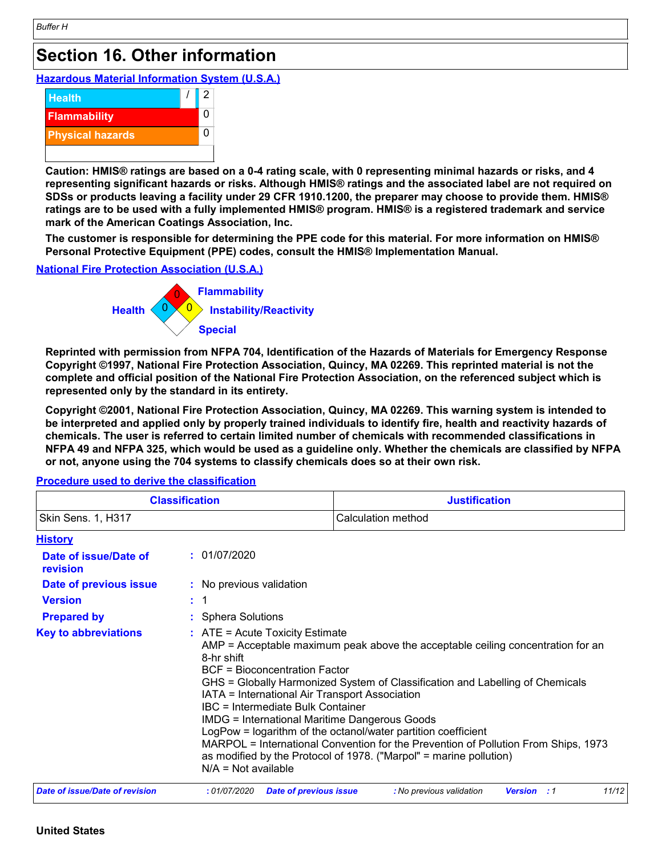### **Section 16. Other information**

**Hazardous Material Information System (U.S.A.)**



**Caution: HMIS® ratings are based on a 0-4 rating scale, with 0 representing minimal hazards or risks, and 4 representing significant hazards or risks. Although HMIS® ratings and the associated label are not required on SDSs or products leaving a facility under 29 CFR 1910.1200, the preparer may choose to provide them. HMIS® ratings are to be used with a fully implemented HMIS® program. HMIS® is a registered trademark and service mark of the American Coatings Association, Inc.**

**The customer is responsible for determining the PPE code for this material. For more information on HMIS® Personal Protective Equipment (PPE) codes, consult the HMIS® Implementation Manual.**

#### **National Fire Protection Association (U.S.A.)**



**Reprinted with permission from NFPA 704, Identification of the Hazards of Materials for Emergency Response Copyright ©1997, National Fire Protection Association, Quincy, MA 02269. This reprinted material is not the complete and official position of the National Fire Protection Association, on the referenced subject which is represented only by the standard in its entirety.**

**Copyright ©2001, National Fire Protection Association, Quincy, MA 02269. This warning system is intended to be interpreted and applied only by properly trained individuals to identify fire, health and reactivity hazards of chemicals. The user is referred to certain limited number of chemicals with recommended classifications in NFPA 49 and NFPA 325, which would be used as a guideline only. Whether the chemicals are classified by NFPA or not, anyone using the 704 systems to classify chemicals does so at their own risk.**

**History :** Sphera Solutions **Date of issue/Date of revision Version Prepared by Date of previous issue : :** 01/07/2020 **:** No previous validation **Key to abbreviations :** 1 **Classification Justification** Skin Sens. 1, H317 Calculation method  $\therefore$  ATE = Acute Toxicity Estimate AMP = Acceptable maximum peak above the acceptable ceiling concentration for an 8-hr shift BCF = Bioconcentration Factor GHS = Globally Harmonized System of Classification and Labelling of Chemicals IATA = International Air Transport Association IBC = Intermediate Bulk Container IMDG = International Maritime Dangerous Goods LogPow = logarithm of the octanol/water partition coefficient MARPOL = International Convention for the Prevention of Pollution From Ships, 1973 as modified by the Protocol of 1978. ("Marpol" = marine pollution) N/A = Not available *Date of issue/Date of revision* **:** *01/07/2020 Date of previous issue : No previous validation Version : 1 11/12*

**Procedure used to derive the classification**